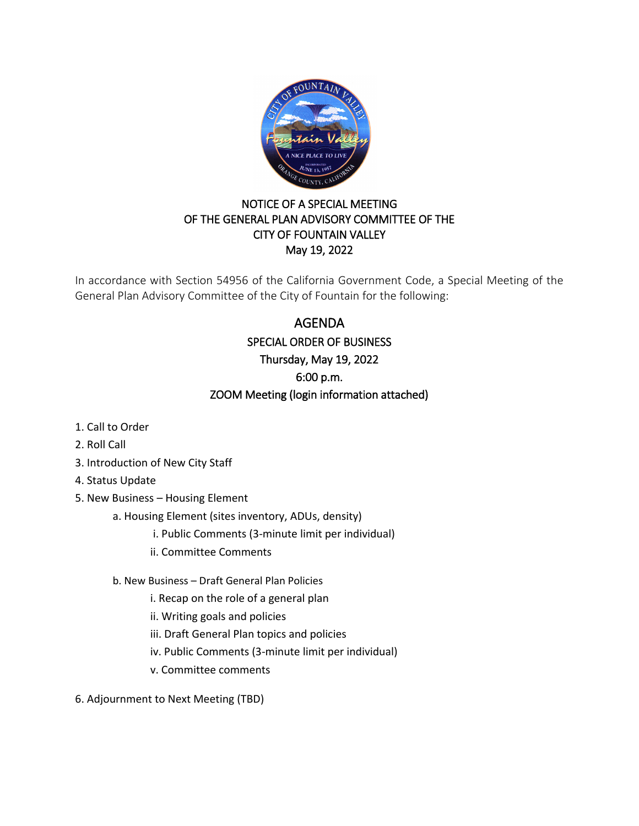

## NOTICE OF A SPECIAL MEETING OF THE GENERAL PLAN ADVISORY COMMITTEE OF THE CITY OF FOUNTAIN VALLEY May 19, 2022

In accordance with Section 54956 of the California Government Code, a Special Meeting of the General Plan Advisory Committee of the City of Fountain for the following:

# AGENDA SPECIAL ORDER OF BUSINESS Thursday, May 19, 2022 6:00 p.m. ZOOM Meeting (login information attached)

- 1. Call to Order
- 2. Roll Call
- 3. Introduction of New City Staff
- 4. Status Update
- 5. New Business Housing Element
	- a. Housing Element (sites inventory, ADUs, density)
		- i. Public Comments (3-minute limit per individual)
		- ii. Committee Comments
	- b. New Business Draft General Plan Policies
		- i. Recap on the role of a general plan
		- ii. Writing goals and policies
		- iii. Draft General Plan topics and policies
		- iv. Public Comments (3-minute limit per individual)
		- v. Committee comments
- 6. Adjournment to Next Meeting (TBD)